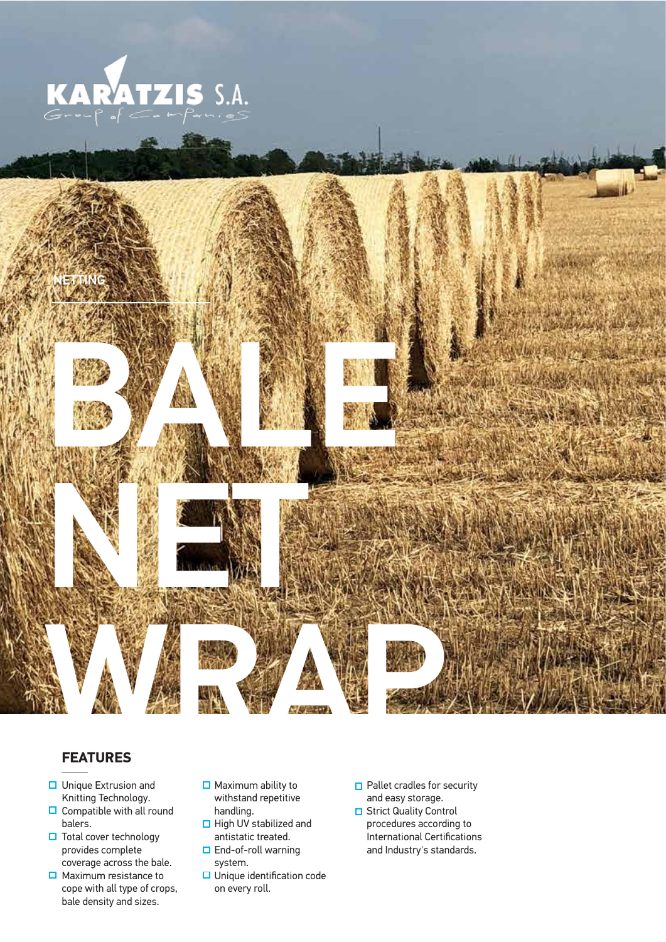



#### **FEATURES**

- **□** Unique Extrusion and Knitting Technology.
- $\Box$  Compatible with all round balers.
- **□** Total cover technology provides complete coverage across the bale.
- $\Box$  Maximum resistance to cope with all type of crops, bale density and sizes.
- $\Box$  Maximum ability to withstand repetitive handling.
- $\Box$  High UV stabilized and antistatic treated. □ End-of-roll warning
- system.
- $\Box$  Unique identification code on every roll.
- **□** Pallet cradles for security and easy storage.
- **□** Strict Quality Control procedures according to International Certifications and Industry's standards.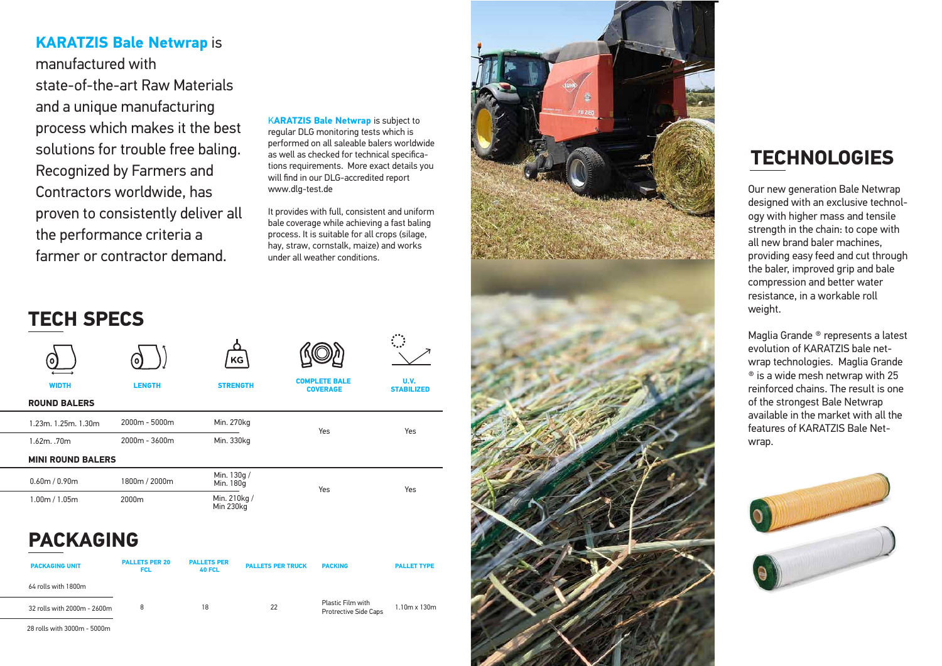#### **KARATZIS Bale Netwrap** is

manufactured with state-of-the-art Raw Materials and a unique manufacturing process which makes it the best solutions for trouble free baling. Recognized by Farmers and Contractors worldwide, has proven to consistently deliver all the performance criteria a farmer or contractor demand.

K**ARATZIS Bale Netwrap** is subject to regular DLG monitoring tests which is performed on all saleable balers worldwide as well as checked for technical specifica tions requirements. More exact details you will find in our DLG-accredited report www.dlg-test.de

It provides with full, consistent and uniform bale coverage while achieving a fast baling process. It is suitable for all crops (silage, hay, straw, cornstalk, maize) and works under all weather conditions.

| <b>PACKAGING UNIT</b>       | <b>PALLETS PER 20</b><br><b>FCL</b> | <b>PALLETS PER</b><br><b>40 FCL</b> | <b>PALLETS PER TRUCK</b> | <b>PACKING</b>                             | <b>PALLET TYPE</b>  |
|-----------------------------|-------------------------------------|-------------------------------------|--------------------------|--------------------------------------------|---------------------|
| 64 rolls with 1800m         |                                     |                                     |                          |                                            |                     |
| 32 rolls with 2000m - 2600m | 8                                   | 18                                  | 22                       | Plastic Film with<br>Protrective Side Caps | $1.10m \times 130m$ |

| <b>ROUND BALERS</b>          |                   |                           |     |     |  |
|------------------------------|-------------------|---------------------------|-----|-----|--|
| $1.23$ m. $1.25$ m. $1.30$ m | $2000m - 5000m$   | Min. 270kg                | Yes | Yes |  |
| $1.62m.$ .70 $m$             | $2000m - 3600m$   | Min. 330kg                |     |     |  |
| <b>MINI ROUND BALERS</b>     |                   |                           |     |     |  |
| 0.60m / 0.90m                | 1800m / 2000m     | Min. 130g /<br>Min. 180g  | Yes | Yes |  |
| 1.00m / 1.05m                | 2000 <sub>m</sub> | Min. 210kg /<br>Min 230kg |     |     |  |
|                              |                   |                           |     |     |  |

**KG** 

28 rolls with 3000m - 5000m



## **TECH SPECS**







## **PACKAGING**

Our new generation Bale Netwrap designed with an exclusive technol ogy with higher mass and tensile strength in the chain: to cope with all new brand baler machines, providing easy feed and cut through the baler, improved grip and bale compression and better water resistance, in a workable roll weight.

Maglia Grande ® represents a latest evolution of KARATZIS bale net wrap technologies. Maglia Grande  $\textdegree$  is a wide mesh netwrap with 25 reinforced chains. The result is one of the strongest Bale Netwrap available in the market with all the features of KARATZIS Bale Net wrap.



# **TECHNOLOGIES**

**WIDTH LENGTH STRENGTH COMPLETE BALE COVERAGE**

**U.V. STABILIZED**